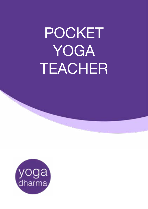## POCKET • Instructions YOGA TEACHER

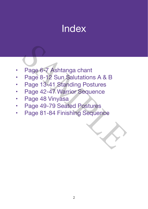### Index

- Page 6-7 Ashtanga chant
- Page 8-12 Sun Salutations A & B Page 6-7 Ashtanga chant<br>Page 8-12 Sun Salutations A & B<br>Page 13-41 Standing Postures<br>Page 42-47 Warrior Sequence<br>Page 48 Vinyasa<br>Page 49-79 Seated Postures<br>Page 81-84 Finishing Sequence
- Page 13-41 Standing Postures
- Page 42-47 Warrior Sequence
- Page 48 Vinyasa
- • Page 49-79 Seated Postures
- Page 81-84 Finishing Sequence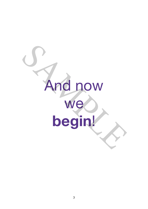# And now we **begin**! Sand now<br>We<br>begin!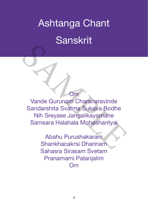## Ashtanga Chant Sanskrit

#### Om

Vande Gurunam Charanaravinde Sandarshita Svatma Sukava Bodhe Nih Sreyase Jangalikayamane Samsara Halahala Mohashantyai Om<br>
Vande Gurunam Charanaravinde<br>
Sandarshita Svatma Sukava Bodhe<br>
Nih Sreyase Jangalikayamane<br>
Samsara Halahala Mohashantyai<br>
Abahu Purushakaram<br>
Shankhacakrsi Dharinam<br>
Shankhacakrsi Dharinam

Abahu Purushakaram Shankhacakrsi Dharinam Sahasra Sirasam Svetam Pranamami Patanjalim Om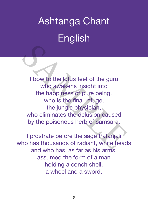# Ashtanga Chant English

I bow to the lotus feet of the guru who awakens insight into the happiness of pure being, who is the final refuge, the jungle physician, who eliminates the delusion caused by the poisonous herb of samsara. I bow to the lotus feet of the guru<br>
who awakens insight into<br>
the happiness of pure being,<br>
who is the final refuge,<br>
the jungle physician,<br>
who eliminates the delusion caused<br>
by the poisonous herb of samsara.<br>
I prostra

I prostrate before the sage Patanjali who has thousands of radiant, white heads and who has, as far as his arms, assumed the form of a man holding a conch shell, a wheel and a sword.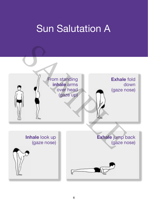### Sun Salutation A

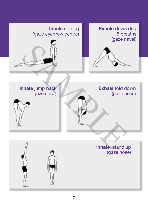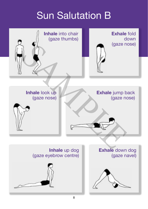### Sun Salutation B

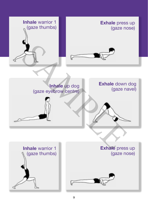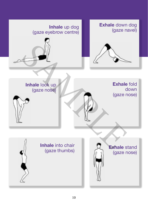